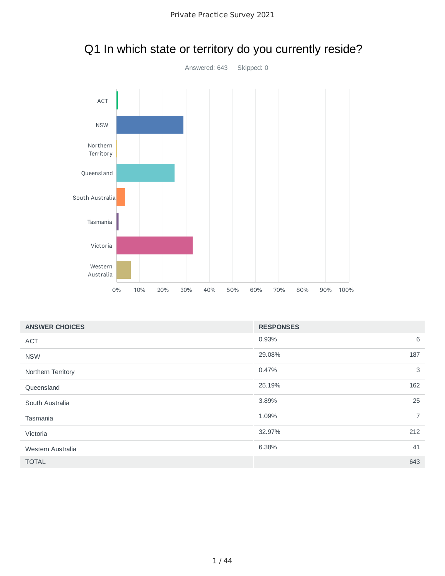

### Q1 In which state or territory do you currently reside?

| <b>ANSWER CHOICES</b> | <b>RESPONSES</b> |                |
|-----------------------|------------------|----------------|
| <b>ACT</b>            | 0.93%            | 6              |
| <b>NSW</b>            | 29.08%           | 187            |
| Northern Territory    | 0.47%            | 3              |
| Queensland            | 25.19%           | 162            |
| South Australia       | 3.89%            | 25             |
| Tasmania              | 1.09%            | $\overline{7}$ |
| Victoria              | 32.97%           | 212            |
| Western Australia     | 6.38%            | 41             |
| <b>TOTAL</b>          |                  | 643            |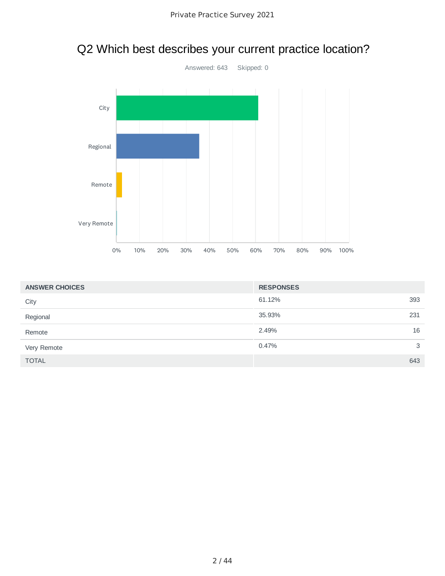

| <b>ANSWER CHOICES</b> | <b>RESPONSES</b> |     |
|-----------------------|------------------|-----|
| City                  | 61.12%           | 393 |
| Regional              | 35.93%           | 231 |
| Remote                | 2.49%            | 16  |
| Very Remote           | 0.47%            | 3   |
| <b>TOTAL</b>          |                  | 643 |

### Q2 Which best describes your current practice location?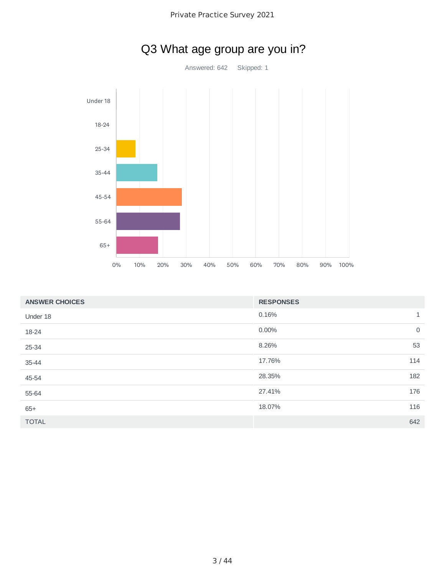

| <b>ANSWER CHOICES</b> | <b>RESPONSES</b> |              |
|-----------------------|------------------|--------------|
| Under 18              | 0.16%            | $\mathbf{1}$ |
| 18-24                 | 0.00%            | $\mathbf 0$  |
| 25-34                 | 8.26%            | 53           |
| 35-44                 | 17.76%           | 114          |
| 45-54                 | 28.35%           | 182          |
| 55-64                 | 27.41%           | 176          |
| $65+$                 | 18.07%           | 116          |
| <b>TOTAL</b>          |                  | 642          |

### Q3 What age group are you in?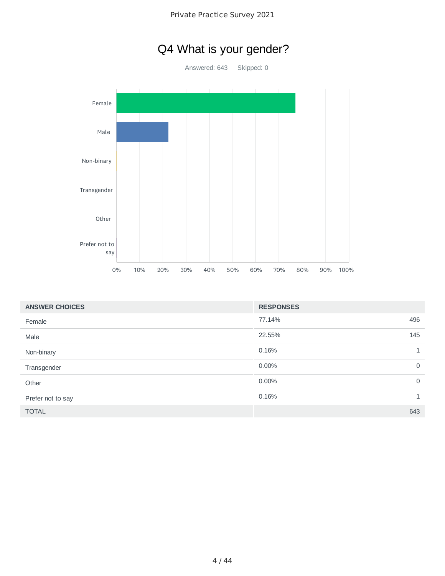## Q4 What is your gender?

Answered: 643 Skipped: 0



| <b>ANSWER CHOICES</b> | <b>RESPONSES</b> |              |
|-----------------------|------------------|--------------|
| Female                | 77.14%           | 496          |
| Male                  | 22.55%           | 145          |
| Non-binary            | 0.16%            | 1            |
| Transgender           | $0.00\%$         | $\mathbf 0$  |
| Other                 | $0.00\%$         | $\mathbf 0$  |
| Prefer not to say     | 0.16%            | $\mathbf{1}$ |
| <b>TOTAL</b>          |                  | 643          |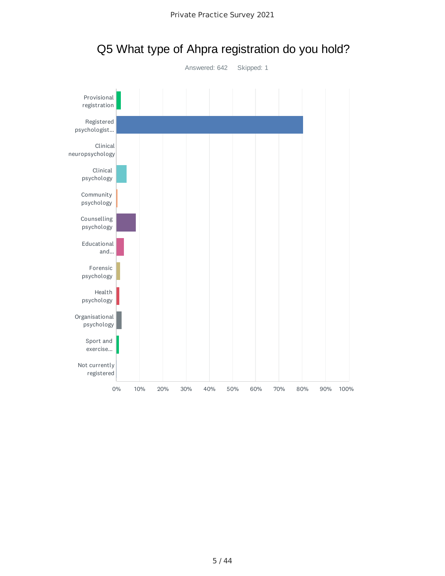

Q5 What type of Ahpra registration do you hold?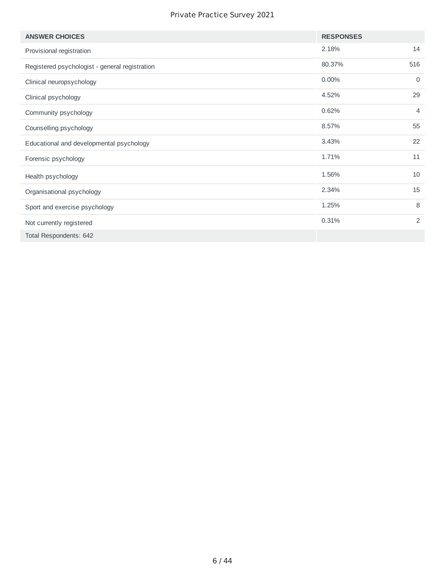#### Private Practice Survey 2021

| <b>ANSWER CHOICES</b>                          | <b>RESPONSES</b> |                |
|------------------------------------------------|------------------|----------------|
| Provisional registration                       | 2.18%            | 14             |
| Registered psychologist - general registration | 80.37%           | 516            |
| Clinical neuropsychology                       | 0.00%            | 0              |
| Clinical psychology                            | 4.52%            | 29             |
| Community psychology                           | 0.62%            | $\overline{4}$ |
| Counselling psychology                         | 8.57%            | 55             |
| Educational and developmental psychology       | 3.43%            | 22             |
| Forensic psychology                            | 1.71%            | 11             |
| Health psychology                              | 1.56%            | 10             |
| Organisational psychology                      | 2.34%            | 15             |
| Sport and exercise psychology                  | 1.25%            | 8              |
| Not currently registered                       | 0.31%            | 2              |
| Total Respondents: 642                         |                  |                |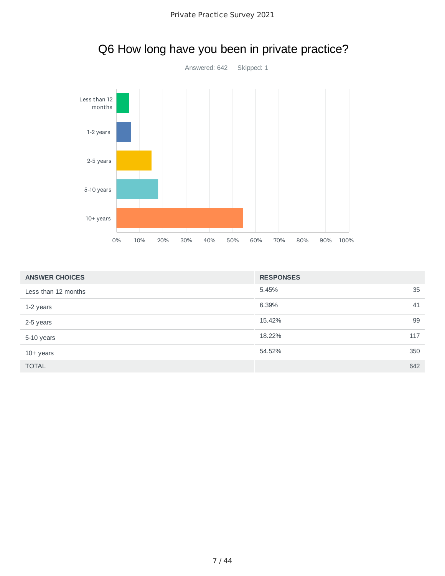

| <b>ANSWER CHOICES</b> | <b>RESPONSES</b> |     |
|-----------------------|------------------|-----|
| Less than 12 months   | 5.45%            | 35  |
| 1-2 years             | 6.39%            | 41  |
| 2-5 years             | 15.42%           | 99  |
| 5-10 years            | 18.22%           | 117 |
| $10+$ years           | 54.52%           | 350 |
| <b>TOTAL</b>          |                  | 642 |

## Q6 How long have you been in private practice?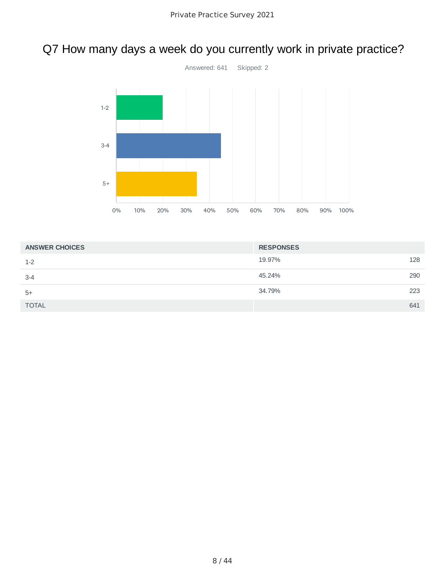### Q7 How many days a week do you currently work in private practice?



| <b>ANSWER CHOICES</b> | <b>RESPONSES</b> |     |
|-----------------------|------------------|-----|
| $1 - 2$               | 19.97%           | 128 |
| $3 - 4$               | 45.24%           | 290 |
| $5+$                  | 34.79%           | 223 |
| <b>TOTAL</b>          |                  | 641 |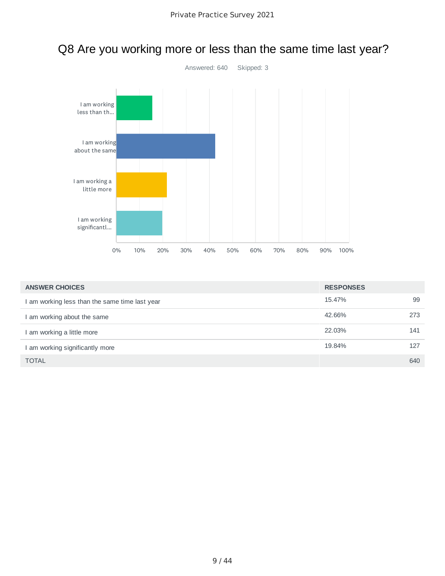

#### Q8 Are you working more or less than the same time last year?

| <b>ANSWER CHOICES</b>                          | <b>RESPONSES</b> |     |
|------------------------------------------------|------------------|-----|
| I am working less than the same time last year | 15.47%           | 99  |
| I am working about the same                    | 42.66%           | 273 |
| I am working a little more                     | 22.03%           | 141 |
| I am working significantly more                | 19.84%           | 127 |
| <b>TOTAL</b>                                   |                  | 640 |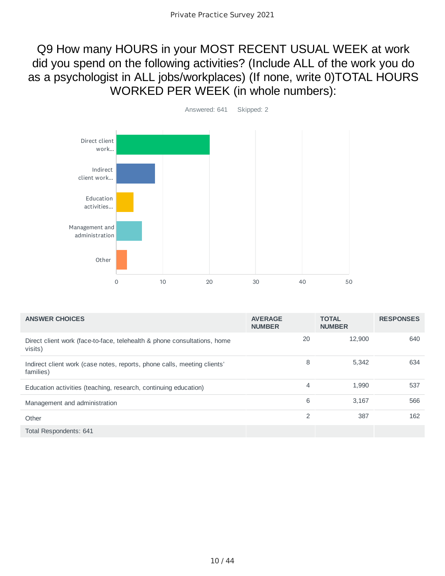#### Q9 How many HOURS in your MOST RECENT USUAL WEEK at work did you spend on the following activities? (Include ALL of the work you do as a psychologist in ALL jobs/workplaces) (If none, write 0)TOTAL HOURS WORKED PER WEEK (in whole numbers):



| <b>ANSWER CHOICES</b>                                                                 | <b>AVERAGE</b><br><b>NUMBER</b> | <b>TOTAL</b><br><b>NUMBER</b> | <b>RESPONSES</b> |
|---------------------------------------------------------------------------------------|---------------------------------|-------------------------------|------------------|
| Direct client work (face-to-face, telehealth & phone consultations, home<br>visits)   | 20                              | 12,900                        | 640              |
| Indirect client work (case notes, reports, phone calls, meeting clients'<br>families) | 8                               | 5,342                         | 634              |
| Education activities (teaching, research, continuing education)                       | 4                               | 1,990                         | 537              |
| Management and administration                                                         | 6                               | 3,167                         | 566              |
| Other                                                                                 | $\overline{2}$                  | 387                           | 162              |
| Total Respondents: 641                                                                |                                 |                               |                  |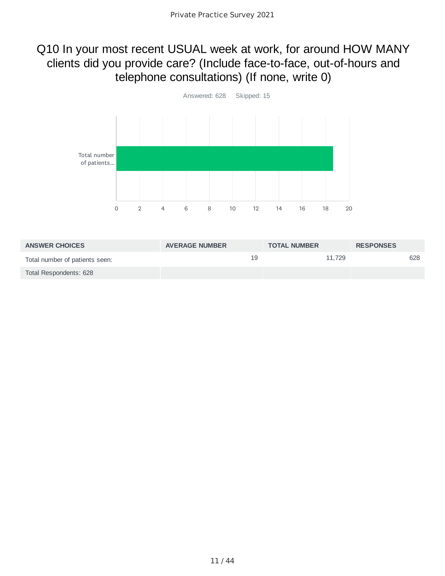#### Q10 In your most recent USUAL week at work, for around HOW MANY clients did you provide care? (Include face-to-face, out-of-hours and telephone consultations) (If none, write 0)



| <b>ANSWER CHOICES</b>          | <b>AVERAGE NUMBER</b> | <b>TOTAL NUMBER</b> | <b>RESPONSES</b> |
|--------------------------------|-----------------------|---------------------|------------------|
| Total number of patients seen: | 19                    | 11.729              | 628              |
| Total Respondents: 628         |                       |                     |                  |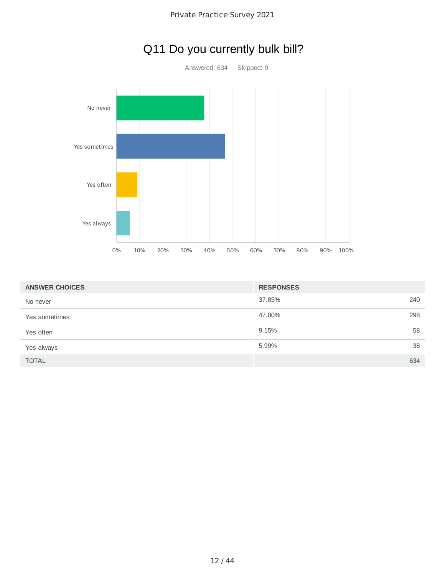



### Q11 Do you currently bulk bill?

| <b>ANSWER CHOICES</b> | <b>RESPONSES</b> |     |
|-----------------------|------------------|-----|
| No never              | 37.85%           | 240 |
| Yes sometimes         | 47.00%           | 298 |
| Yes often             | 9.15%            | 58  |
| Yes always            | 5.99%            | 38  |
| <b>TOTAL</b>          |                  | 634 |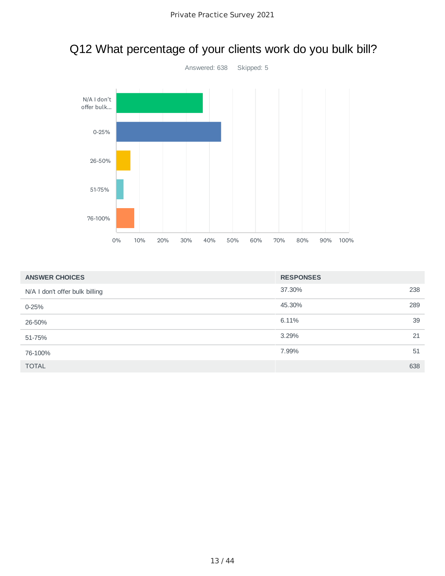

# Q12 What percentage of your clients work do you bulk bill?

| <b>ANSWER CHOICES</b>          | <b>RESPONSES</b> |
|--------------------------------|------------------|
| N/A I don't offer bulk billing | 37.30%<br>238    |
| $0 - 25%$                      | 45.30%<br>289    |
| 26-50%                         | 39<br>6.11%      |
| 51-75%                         | 3.29%<br>21      |
| 76-100%                        | 7.99%<br>51      |
| <b>TOTAL</b>                   | 638              |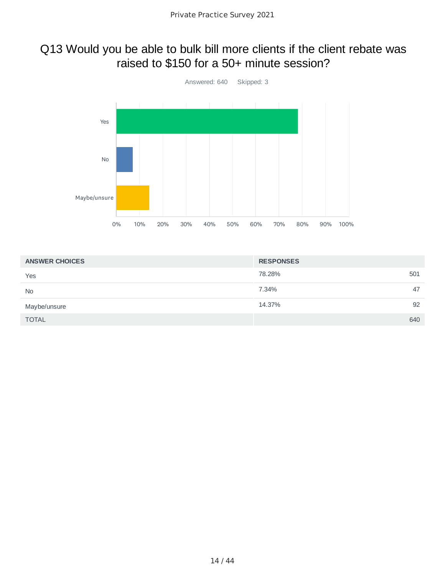#### Q13 Would you be able to bulk bill more clients if the client rebate was raised to \$150 for a 50+ minute session?



| <b>ANSWER CHOICES</b> | <b>RESPONSES</b> |
|-----------------------|------------------|
| Yes                   | 78.28%<br>501    |
| <b>No</b>             | 7.34%<br>47      |
| Maybe/unsure          | 14.37%<br>92     |
| <b>TOTAL</b>          | 640              |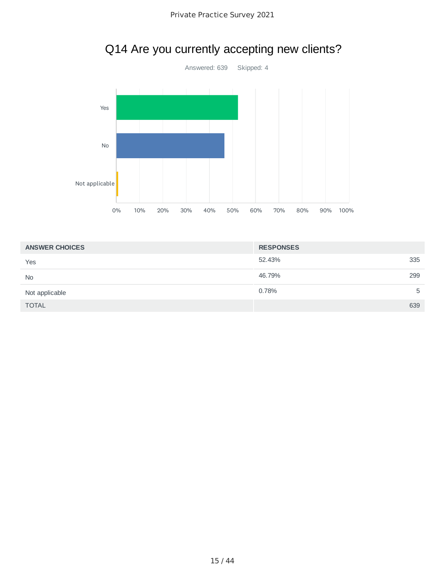

## Q14 Are you currently accepting new clients?

| <b>ANSWER CHOICES</b> | <b>RESPONSES</b> |     |
|-----------------------|------------------|-----|
| Yes                   | 52.43%           | 335 |
| <b>No</b>             | 46.79%           | 299 |
| Not applicable        | 0.78%            | 5   |
| <b>TOTAL</b>          |                  | 639 |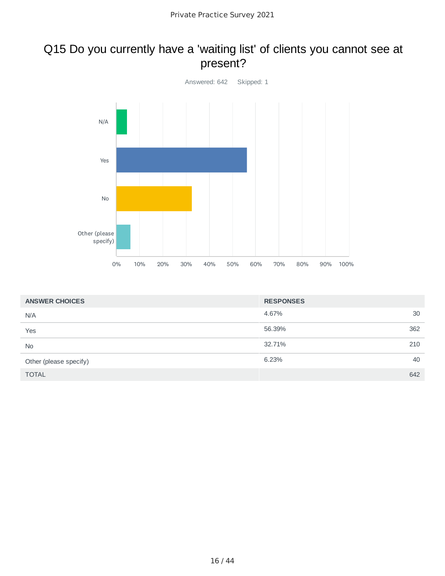#### Q15 Do you currently have a 'waiting list' of clients you cannot see at present?



| <b>ANSWER CHOICES</b>  | <b>RESPONSES</b> |     |
|------------------------|------------------|-----|
| N/A                    | 4.67%            | 30  |
| Yes                    | 56.39%           | 362 |
| <b>No</b>              | 32.71%           | 210 |
| Other (please specify) | 6.23%            | 40  |
| <b>TOTAL</b>           |                  | 642 |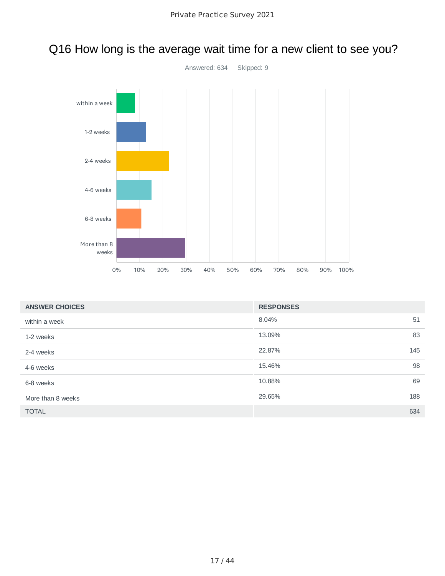

# Q16 How long is the average wait time for a new client to see you?

| <b>ANSWER CHOICES</b> | <b>RESPONSES</b> |     |
|-----------------------|------------------|-----|
| within a week         | 8.04%            | 51  |
| 1-2 weeks             | 13.09%           | 83  |
| 2-4 weeks             | 22.87%           | 145 |
| 4-6 weeks             | 15.46%           | 98  |
| 6-8 weeks             | 10.88%           | 69  |
| More than 8 weeks     | 29.65%           | 188 |
| <b>TOTAL</b>          |                  | 634 |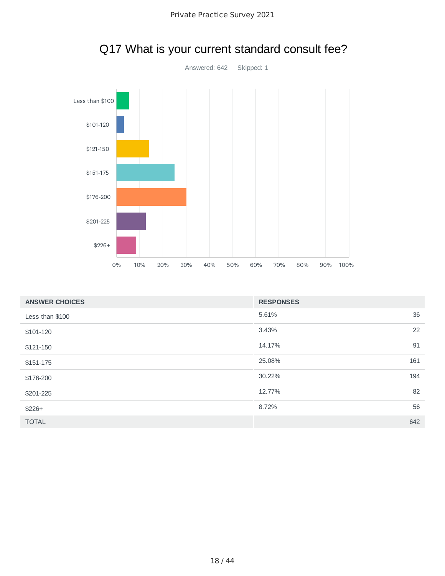

## Q17 What is your current standard consult fee?

| <b>ANSWER CHOICES</b> | <b>RESPONSES</b> |
|-----------------------|------------------|
| Less than \$100       | 36<br>5.61%      |
| \$101-120             | 22<br>3.43%      |
| \$121-150             | 91<br>14.17%     |
| \$151-175             | 25.08%<br>161    |
| \$176-200             | 194<br>30.22%    |
| \$201-225             | 82<br>12.77%     |
| $$226+$               | 56<br>8.72%      |
| <b>TOTAL</b>          | 642              |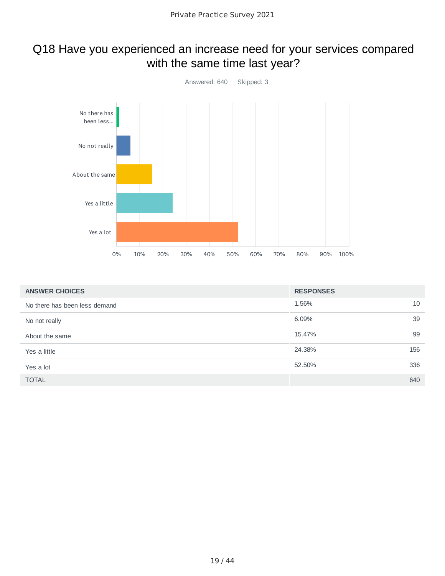#### Q18 Have you experienced an increase need for your services compared with the same time last year?



| <b>ANSWER CHOICES</b>         | <b>RESPONSES</b> |
|-------------------------------|------------------|
| No there has been less demand | 10<br>1.56%      |
| No not really                 | 39<br>6.09%      |
| About the same                | 99<br>15.47%     |
| Yes a little                  | 156<br>24.38%    |
| Yes a lot                     | 336<br>52.50%    |
| <b>TOTAL</b>                  | 640              |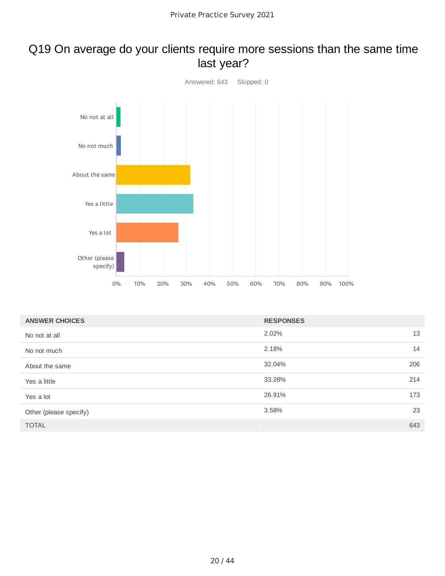#### Q19 On average do your clients require more sessions than the same time last year?



| <b>ANSWER CHOICES</b>  | <b>RESPONSES</b> |     |
|------------------------|------------------|-----|
| No not at all          | 2.02%            | 13  |
| No not much            | 2.18%            | 14  |
| About the same         | 32.04%           | 206 |
| Yes a little           | 33.28%           | 214 |
| Yes a lot              | 26.91%           | 173 |
| Other (please specify) | 3.58%            | 23  |
| <b>TOTAL</b>           |                  | 643 |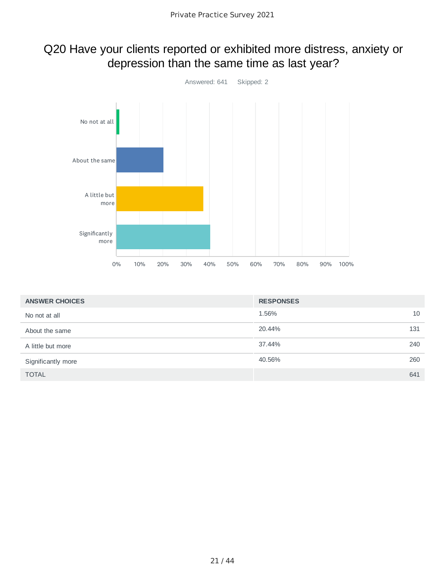### Q20 Have your clients reported or exhibited more distress, anxiety or depression than the same time as last year?



| <b>ANSWER CHOICES</b> | <b>RESPONSES</b> |     |
|-----------------------|------------------|-----|
| No not at all         | 1.56%            | 10  |
| About the same        | 20.44%           | 131 |
| A little but more     | 37.44%           | 240 |
| Significantly more    | 40.56%           | 260 |
| <b>TOTAL</b>          |                  | 641 |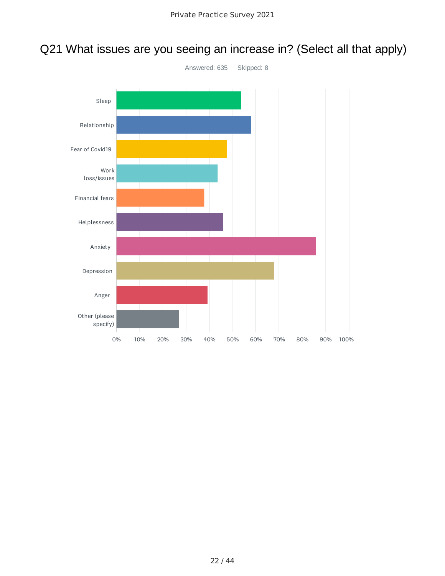### Q21 What issues are you seeing an increase in? (Select all that apply)

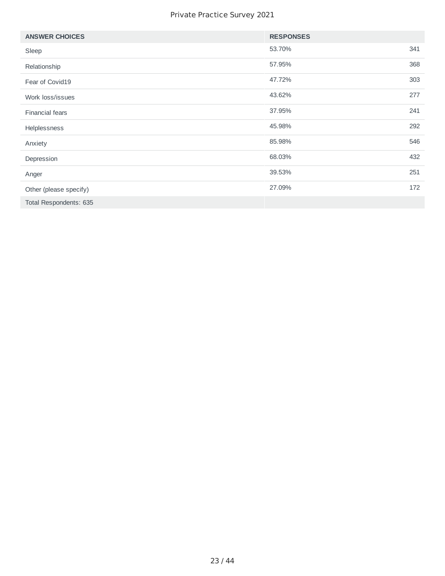#### Private Practice Survey 2021

| <b>ANSWER CHOICES</b>  | <b>RESPONSES</b> |     |
|------------------------|------------------|-----|
| Sleep                  | 53.70%           | 341 |
| Relationship           | 57.95%           | 368 |
| Fear of Covid19        | 47.72%           | 303 |
| Work loss/issues       | 43.62%           | 277 |
| <b>Financial fears</b> | 37.95%           | 241 |
| Helplessness           | 45.98%           | 292 |
| Anxiety                | 85.98%           | 546 |
| Depression             | 68.03%           | 432 |
| Anger                  | 39.53%           | 251 |
| Other (please specify) | 27.09%           | 172 |
| Total Respondents: 635 |                  |     |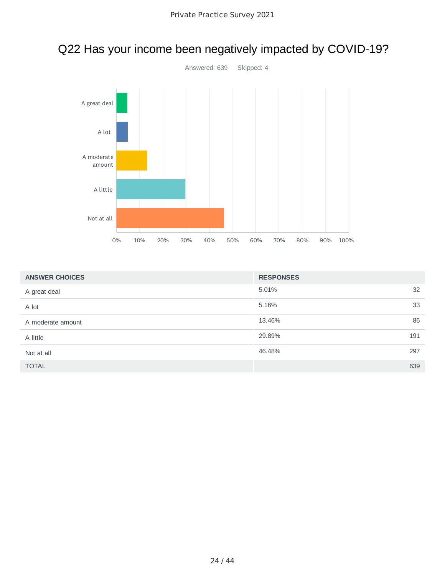

|  | Q22 Has your income been negatively impacted by COVID-19? |  |
|--|-----------------------------------------------------------|--|
|  |                                                           |  |

| <b>ANSWER CHOICES</b> | <b>RESPONSES</b> |    |
|-----------------------|------------------|----|
| A great deal          | 5.01%            | 32 |
| A lot                 | 5.16%            | 33 |
| A moderate amount     | 13.46%           | 86 |
| A little              | 29.89%<br>191    |    |
| Not at all            | 46.48%<br>297    |    |
| <b>TOTAL</b>          | 639              |    |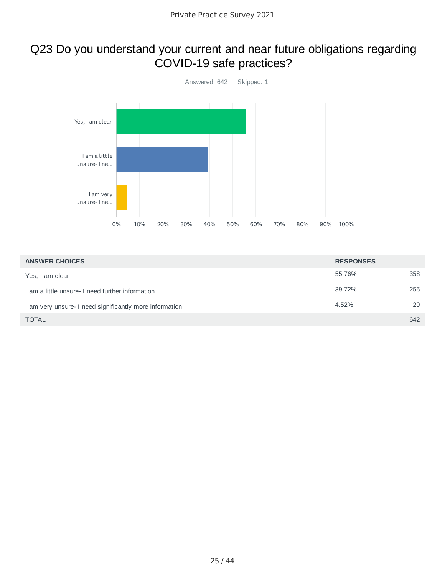#### Q23 Do you understand your current and near future obligations regarding COVID-19 safe practices?



| <b>ANSWER CHOICES</b>                                   | <b>RESPONSES</b> |     |
|---------------------------------------------------------|------------------|-----|
| Yes, I am clear                                         | 55.76%           | 358 |
| I am a little unsure- I need further information        | 39.72%           | 255 |
| I am very unsure- I need significantly more information | 4.52%            | 29  |
| <b>TOTAL</b>                                            |                  | 642 |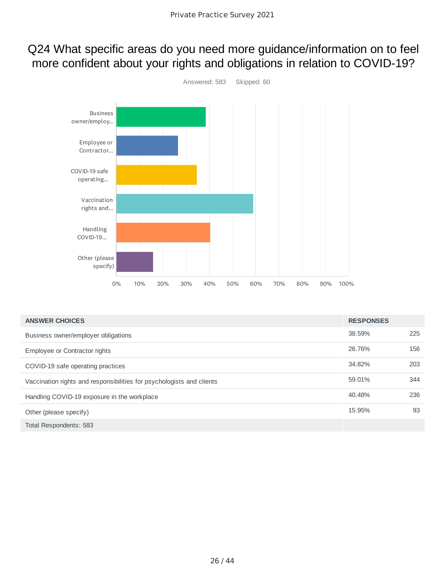#### Q24 What specific areas do you need more guidance/information on to feel more confident about your rights and obligations in relation to COVID-19?



| <b>ANSWER CHOICES</b>                                                 | <b>RESPONSES</b> |     |
|-----------------------------------------------------------------------|------------------|-----|
| Business owner/employer obligations                                   | 38.59%           | 225 |
| Employee or Contractor rights                                         | 26.76%           | 156 |
| COVID-19 safe operating practices                                     | 34.82%           | 203 |
| Vaccination rights and responsibilities for psychologists and clients | 59.01%           | 344 |
| Handling COVID-19 exposure in the workplace                           | 40.48%           | 236 |
| Other (please specify)                                                | 15.95%           | 93  |
| Total Respondents: 583                                                |                  |     |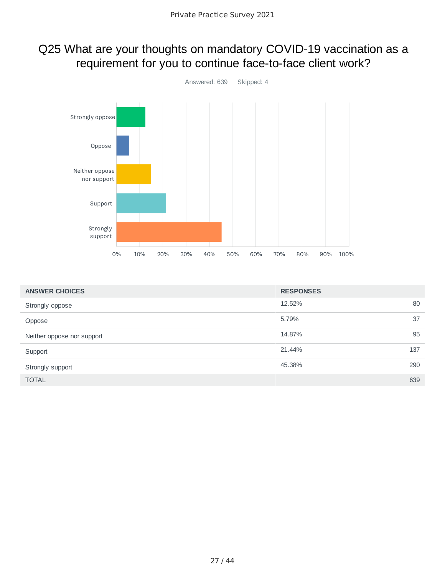#### Q25 What are your thoughts on mandatory COVID-19 vaccination as a requirement for you to continue face-to-face client work?



| <b>ANSWER CHOICES</b>      | <b>RESPONSES</b> |     |
|----------------------------|------------------|-----|
| Strongly oppose            | 12.52%           | 80  |
| Oppose                     | 5.79%            | 37  |
| Neither oppose nor support | 14.87%           | 95  |
| Support                    | 21.44%           | 137 |
| Strongly support           | 45.38%           | 290 |
| <b>TOTAL</b>               |                  | 639 |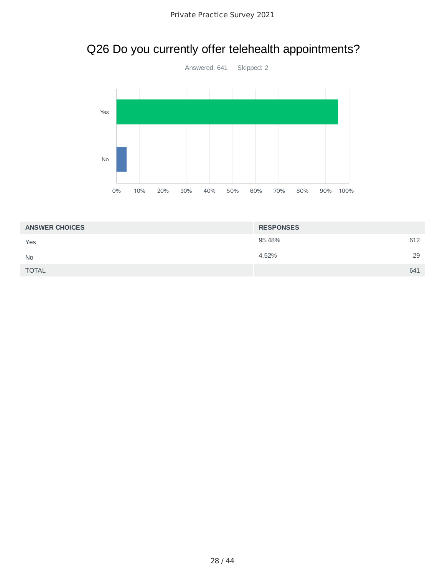# Q26 Do you currently offer telehealth appointments?



| <b>ANSWER CHOICES</b> | <b>RESPONSES</b> |    |
|-----------------------|------------------|----|
| Yes                   | 95.48%<br>612    |    |
| <b>No</b>             | 4.52%            | 29 |
| <b>TOTAL</b>          | 641              |    |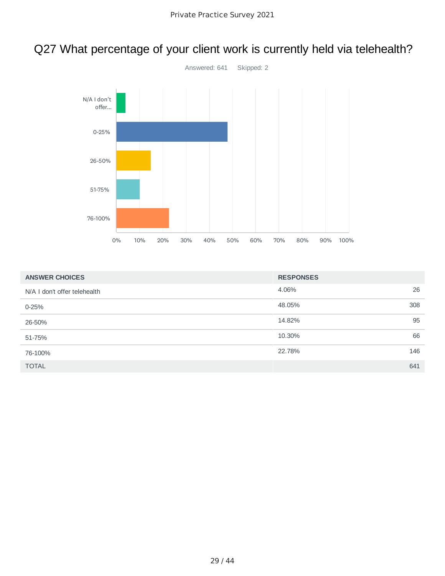# Q27 What percentage of your client work is currently held via telehealth?



| <b>ANSWER CHOICES</b>        | <b>RESPONSES</b> |
|------------------------------|------------------|
| N/A I don't offer telehealth | 26<br>4.06%      |
| $0 - 25%$                    | 308<br>48.05%    |
| 26-50%                       | 95<br>14.82%     |
| 51-75%                       | 66<br>10.30%     |
| 76-100%                      | 146<br>22.78%    |
| <b>TOTAL</b>                 | 641              |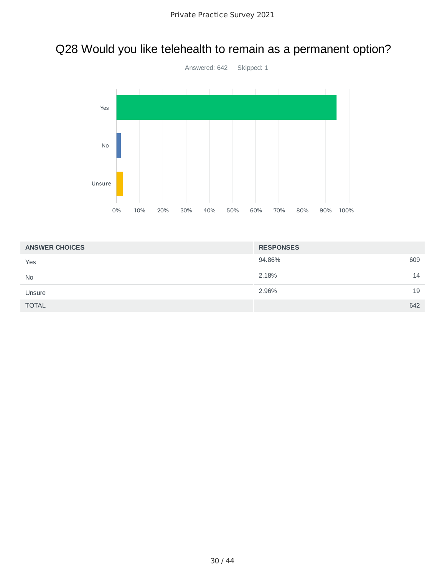# Q28 Would you like telehealth to remain as a permanent option?



| <b>ANSWER CHOICES</b> | <b>RESPONSES</b> |
|-----------------------|------------------|
| Yes                   | 94.86%<br>609    |
| <b>No</b>             | 2.18%<br>14      |
| Unsure                | 2.96%<br>19      |
| <b>TOTAL</b>          | 642              |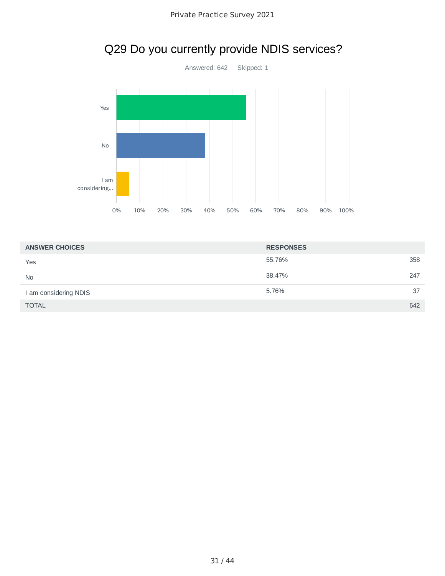

| <b>ANSWER CHOICES</b> | <b>RESPONSES</b> |
|-----------------------|------------------|
| Yes                   | 358<br>55.76%    |
| <b>No</b>             | 247<br>38.47%    |
| I am considering NDIS | 37<br>5.76%      |
| <b>TOTAL</b>          | 642              |

# Q29 Do you currently provide NDIS services?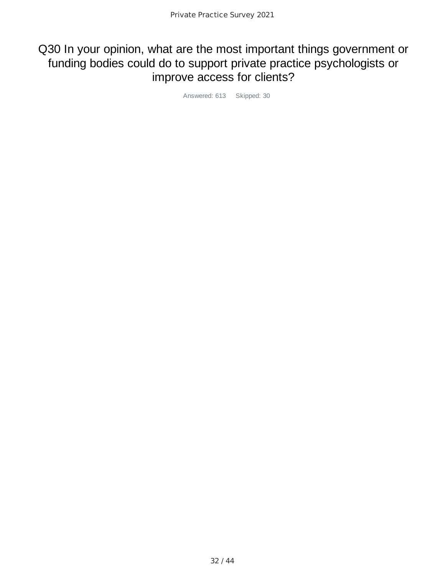#### Q30 In your opinion, what are the most important things government or funding bodies could do to support private practice psychologists or improve access for clients?

Answered: 613 Skipped: 30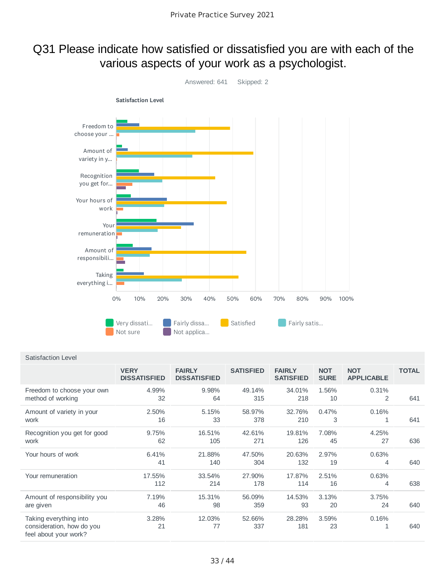#### Q31 Please indicate how satisfied or dissatisfied you are with each of the various aspects of your work as a psychologist.



#### Satisfaction Level

|                                                                              | <b>VERY</b><br><b>DISSATISFIED</b> | <b>FAIRLY</b><br><b>DISSATISFIED</b> | <b>SATISFIED</b> | <b>FAIRLY</b><br><b>SATISFIED</b> | <b>NOT</b><br><b>SURE</b> | <b>NOT</b><br><b>APPLICABLE</b> | <b>TOTAL</b> |
|------------------------------------------------------------------------------|------------------------------------|--------------------------------------|------------------|-----------------------------------|---------------------------|---------------------------------|--------------|
| Freedom to choose your own<br>method of working                              | 4.99%<br>32                        | 9.98%<br>64                          | 49.14%<br>315    | 34.01%<br>218                     | 1.56%<br>10               | 0.31%<br>2                      | 641          |
| Amount of variety in your<br>work                                            | 2.50%<br>16                        | 5.15%<br>33                          | 58.97%<br>378    | 32.76%<br>210                     | 0.47%<br>3                | 0.16%<br>1                      | 641          |
| Recognition you get for good<br>work                                         | 9.75%<br>62                        | 16.51%<br>105                        | 42.61%<br>271    | 19.81%<br>126                     | 7.08%<br>45               | 4.25%<br>27                     | 636          |
| Your hours of work                                                           | 6.41%<br>41                        | 21.88%<br>140                        | 47.50%<br>304    | 20.63%<br>132                     | 2.97%<br>19               | 0.63%<br>4                      | 640          |
| Your remuneration                                                            | 17.55%<br>112                      | 33.54%<br>214                        | 27.90%<br>178    | 17.87%<br>114                     | 2.51%<br>16               | 0.63%<br>4                      | 638          |
| Amount of responsibility you<br>are given                                    | 7.19%<br>46                        | 15.31%<br>98                         | 56.09%<br>359    | 14.53%<br>93                      | 3.13%<br>20               | 3.75%<br>24                     | 640          |
| Taking everything into<br>consideration, how do you<br>feel about your work? | 3.28%<br>21                        | 12.03%<br>77                         | 52.66%<br>337    | 28.28%<br>181                     | 3.59%<br>23               | 0.16%<br>1                      | 640          |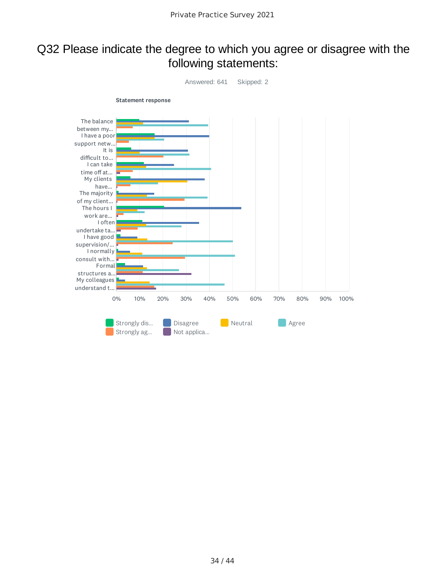#### Q32 Please indicate the degree to which you agree or disagree with the following statements:

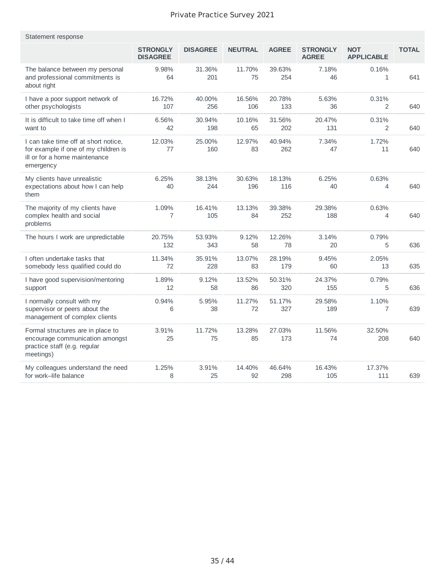| Statement response                                                                                                         |                                    |                 |                |               |                                 |                                 |              |
|----------------------------------------------------------------------------------------------------------------------------|------------------------------------|-----------------|----------------|---------------|---------------------------------|---------------------------------|--------------|
|                                                                                                                            | <b>STRONGLY</b><br><b>DISAGREE</b> | <b>DISAGREE</b> | <b>NEUTRAL</b> | <b>AGREE</b>  | <b>STRONGLY</b><br><b>AGREE</b> | <b>NOT</b><br><b>APPLICABLE</b> | <b>TOTAL</b> |
| The balance between my personal<br>and professional commitments is<br>about right                                          | 9.98%<br>64                        | 31.36%<br>201   | 11.70%<br>75   | 39.63%<br>254 | 7.18%<br>46                     | 0.16%<br>$\mathbf{1}$           | 641          |
| I have a poor support network of<br>other psychologists                                                                    | 16.72%<br>107                      | 40.00%<br>256   | 16.56%<br>106  | 20.78%<br>133 | 5.63%<br>36                     | 0.31%<br>2                      | 640          |
| It is difficult to take time off when I<br>want to                                                                         | 6.56%<br>42                        | 30.94%<br>198   | 10.16%<br>65   | 31.56%<br>202 | 20.47%<br>131                   | 0.31%<br>2                      | 640          |
| I can take time off at short notice,<br>for example if one of my children is<br>ill or for a home maintenance<br>emergency | 12.03%<br>77                       | 25.00%<br>160   | 12.97%<br>83   | 40.94%<br>262 | 7.34%<br>47                     | 1.72%<br>11                     | 640          |
| My clients have unrealistic<br>expectations about how I can help<br>them                                                   | 6.25%<br>40                        | 38.13%<br>244   | 30.63%<br>196  | 18.13%<br>116 | 6.25%<br>40                     | 0.63%<br>4                      | 640          |
| The majority of my clients have<br>complex health and social<br>problems                                                   | 1.09%<br>7                         | 16.41%<br>105   | 13.13%<br>84   | 39.38%<br>252 | 29.38%<br>188                   | 0.63%<br>4                      | 640          |
| The hours I work are unpredictable                                                                                         | 20.75%<br>132                      | 53.93%<br>343   | 9.12%<br>58    | 12.26%<br>78  | 3.14%<br>20                     | 0.79%<br>5                      | 636          |
| I often undertake tasks that<br>somebody less qualified could do                                                           | 11.34%<br>72                       | 35.91%<br>228   | 13.07%<br>83   | 28.19%<br>179 | 9.45%<br>60                     | 2.05%<br>13                     | 635          |
| I have good supervision/mentoring<br>support                                                                               | 1.89%<br>12                        | 9.12%<br>58     | 13.52%<br>86   | 50.31%<br>320 | 24.37%<br>155                   | 0.79%<br>5                      | 636          |
| I normally consult with my<br>supervisor or peers about the<br>management of complex clients                               | 0.94%<br>6                         | 5.95%<br>38     | 11.27%<br>72   | 51.17%<br>327 | 29.58%<br>189                   | 1.10%<br>7                      | 639          |
| Formal structures are in place to<br>encourage communication amongst<br>practice staff (e.g. regular<br>meetings)          | 3.91%<br>25                        | 11.72%<br>75    | 13.28%<br>85   | 27.03%<br>173 | 11.56%<br>74                    | 32.50%<br>208                   | 640          |
| My colleagues understand the need<br>for work–life balance                                                                 | 1.25%<br>8                         | 3.91%<br>25     | 14.40%<br>92   | 46.64%<br>298 | 16.43%<br>105                   | 17.37%<br>111                   | 639          |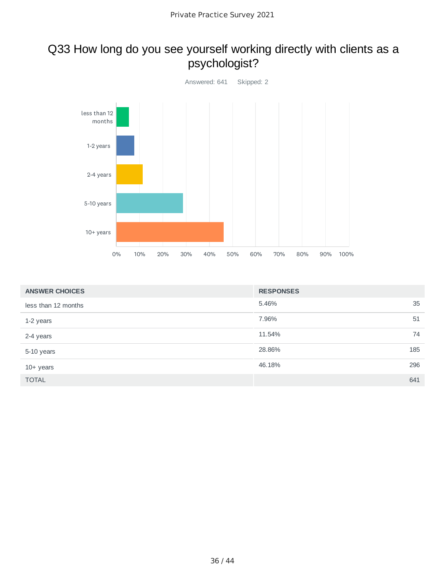#### Q33 How long do you see yourself working directly with clients as a psychologist?



| <b>ANSWER CHOICES</b> | <b>RESPONSES</b> |     |
|-----------------------|------------------|-----|
| less than 12 months   | 5.46%            | 35  |
| 1-2 years             | 7.96%            | 51  |
| 2-4 years             | 11.54%           | 74  |
| 5-10 years            | 28.86%           | 185 |
| $10+$ years           | 46.18%           | 296 |
| <b>TOTAL</b>          |                  | 641 |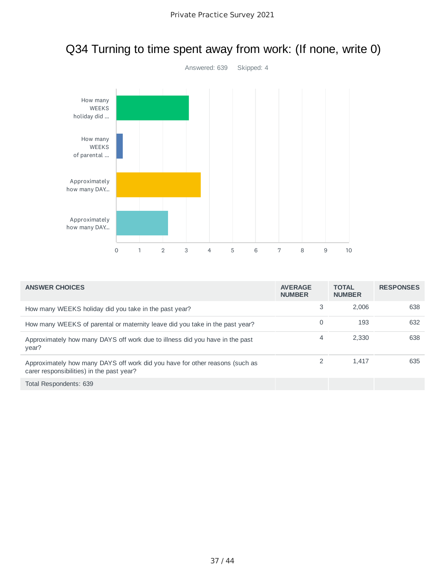

### Q34 Turning to time spent away from work: (If none, write 0)

| <b>ANSWER CHOICES</b>                                                                                                     | <b>AVERAGE</b><br><b>NUMBER</b> | <b>TOTAL</b><br><b>NUMBER</b> | <b>RESPONSES</b> |
|---------------------------------------------------------------------------------------------------------------------------|---------------------------------|-------------------------------|------------------|
| How many WEEKS holiday did you take in the past year?                                                                     | 3                               | 2.006                         | 638              |
| How many WEEKS of parental or maternity leave did you take in the past year?                                              | 0                               | 193                           | 632              |
| Approximately how many DAYS off work due to illness did you have in the past<br>year?                                     | 4                               | 2.330                         | 638              |
| Approximately how many DAYS off work did you have for other reasons (such as<br>carer responsibilities) in the past year? |                                 | 1.417                         | 635              |
| Total Respondents: 639                                                                                                    |                                 |                               |                  |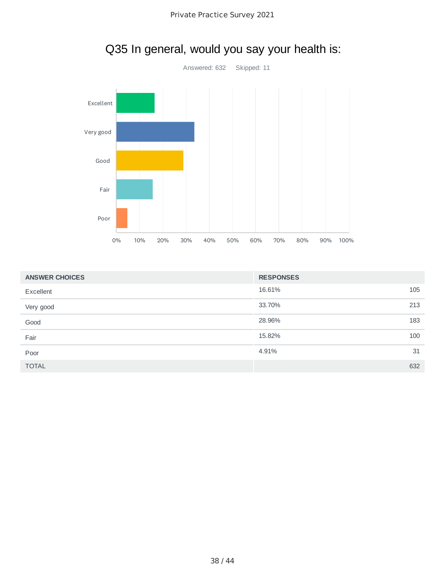

## Q35 In general, would you say your health is:

| <b>ANSWER CHOICES</b> | <b>RESPONSES</b> |     |
|-----------------------|------------------|-----|
| Excellent             | 16.61%           | 105 |
| Very good             | 33.70%           | 213 |
| Good                  | 28.96%           | 183 |
| Fair                  | 15.82%           | 100 |
| Poor                  | 4.91%            | 31  |
| <b>TOTAL</b>          |                  | 632 |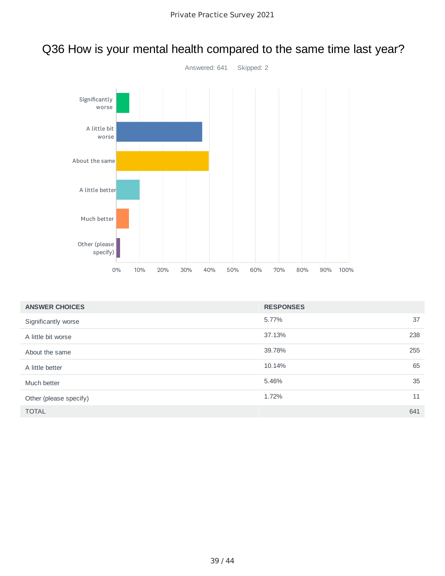

### Q36 How is your mental health compared to the same time last year?

| <b>ANSWER CHOICES</b>  | <b>RESPONSES</b> |     |
|------------------------|------------------|-----|
| Significantly worse    | 5.77%            | 37  |
| A little bit worse     | 37.13%           | 238 |
| About the same         | 39.78%           | 255 |
| A little better        | 10.14%           | 65  |
| Much better            | 5.46%            | 35  |
| Other (please specify) | 1.72%            | 11  |
| <b>TOTAL</b>           |                  | 641 |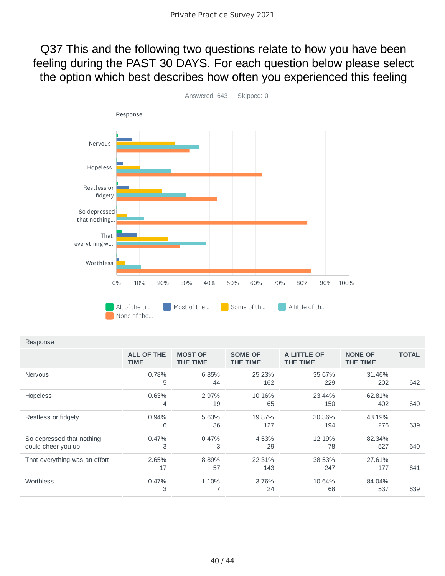Q37 This and the following two questions relate to how you have been feeling during the PAST 30 DAYS. For each question below please select the option which best describes how often you experienced this feeling



| Response |
|----------|
|          |

|                                                 | <b>ALL OF THE</b><br><b>TIME</b> | <b>MOST OF</b><br><b>THE TIME</b> | <b>SOME OF</b><br><b>THE TIME</b> | A LITTLE OF<br><b>THE TIME</b> | <b>NONE OF</b><br><b>THE TIME</b> | <b>TOTAL</b> |
|-------------------------------------------------|----------------------------------|-----------------------------------|-----------------------------------|--------------------------------|-----------------------------------|--------------|
| <b>Nervous</b>                                  | 0.78%<br>5                       | 6.85%<br>44                       | 25.23%<br>162                     | 35.67%<br>229                  | 31.46%<br>202                     | 642          |
| <b>Hopeless</b>                                 | 0.63%<br>4                       | 2.97%<br>19                       | 10.16%<br>65                      | 23.44%<br>150                  | 62.81%<br>402                     | 640          |
| Restless or fidgety                             | 0.94%<br>6                       | 5.63%<br>36                       | 19.87%<br>127                     | 30.36%<br>194                  | 43.19%<br>276                     | 639          |
| So depressed that nothing<br>could cheer you up | 0.47%<br>3                       | 0.47%<br>3                        | 4.53%<br>29                       | 12.19%<br>78                   | 82.34%<br>527                     | 640          |
| That everything was an effort                   | 2.65%<br>17                      | 8.89%<br>57                       | 22.31%<br>143                     | 38.53%<br>247                  | 27.61%<br>177                     | 641          |
| Worthless                                       | 0.47%<br>3                       | 1.10%<br>7                        | 3.76%<br>24                       | 10.64%<br>68                   | 84.04%<br>537                     | 639          |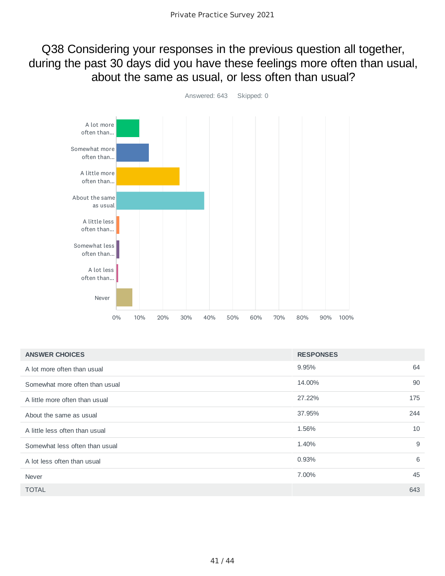#### Q38 Considering your responses in the previous question all together, during the past 30 days did you have these feelings more often than usual, about the same as usual, or less often than usual?



| <b>ANSWER CHOICES</b>          | <b>RESPONSES</b> |
|--------------------------------|------------------|
| A lot more often than usual    | 64<br>9.95%      |
| Somewhat more often than usual | 90<br>14.00%     |
| A little more often than usual | 175<br>27.22%    |
| About the same as usual        | 244<br>37.95%    |
| A little less often than usual | 10<br>1.56%      |
| Somewhat less often than usual | 9<br>1.40%       |
| A lot less often than usual    | 6<br>0.93%       |
| Never                          | 45<br>7.00%      |
| <b>TOTAL</b>                   | 643              |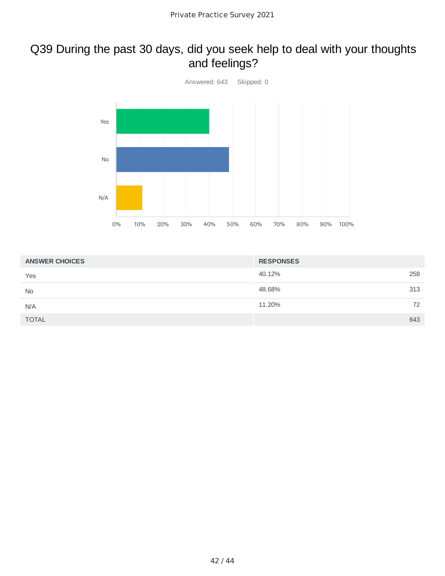#### Q39 During the past 30 days, did you seek help to deal with your thoughts and feelings?



| <b>ANSWER CHOICES</b> | <b>RESPONSES</b> |
|-----------------------|------------------|
| Yes                   | 40.12%<br>258    |
| <b>No</b>             | 48.68%<br>313    |
| N/A                   | 11.20%<br>72     |
| <b>TOTAL</b>          | 643              |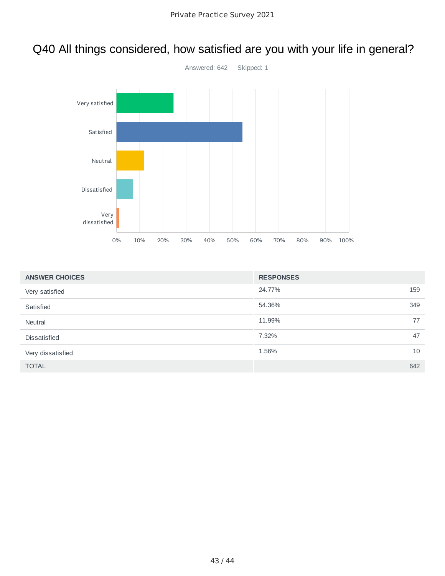### Q40 All things considered, how satisfied are you with your life in general?



| <b>ANSWER CHOICES</b> | <b>RESPONSES</b> |     |
|-----------------------|------------------|-----|
| Very satisfied        | 24.77%           | 159 |
| Satisfied             | 54.36%           | 349 |
| Neutral               | 11.99%           | 77  |
| <b>Dissatisfied</b>   | 7.32%            | 47  |
| Very dissatisfied     | 1.56%            | 10  |
| <b>TOTAL</b>          |                  | 642 |